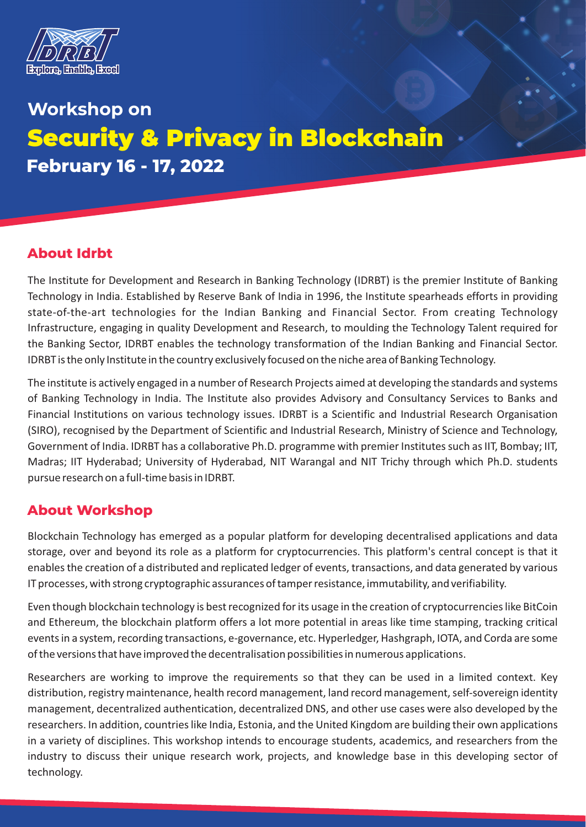

# **Workshop on** Security & Privacy in Blockchain **February 16 - 17, 2022**

# **About Idrbt**

The Institute for Development and Research in Banking Technology (IDRBT) is the premier Institute of Banking Technology in India. Established by Reserve Bank of India in 1996, the Institute spearheads efforts in providing state-of-the-art technologies for the Indian Banking and Financial Sector. From creating Technology Infrastructure, engaging in quality Development and Research, to moulding the Technology Talent required for the Banking Sector, IDRBT enables the technology transformation of the Indian Banking and Financial Sector. IDRBT is the only Institute in the country exclusively focused on the niche area of Banking Technology.

The institute is actively engaged in a number of Research Projects aimed at developing the standards and systems of Banking Technology in India. The Institute also provides Advisory and Consultancy Services to Banks and Financial Institutions on various technology issues. IDRBT is a Scientific and Industrial Research Organisation (SIRO), recognised by the Department of Scientific and Industrial Research, Ministry of Science and Technology, Government of India. IDRBT has a collaborative Ph.D. programme with premier Institutes such as IIT, Bombay; IIT, Madras; IIT Hyderabad; University of Hyderabad, NIT Warangal and NIT Trichy through which Ph.D. students pursue research on a full-time basis in IDRBT.

### **About Workshop**

Blockchain Technology has emerged as a popular platform for developing decentralised applications and data storage, over and beyond its role as a platform for cryptocurrencies. This platform's central concept is that it enables the creation of a distributed and replicated ledger of events, transactions, and data generated by various IT processes, with strong cryptographic assurances of tamper resistance, immutability, and verifiability.

Even though blockchain technology is best recognized for its usage in the creation of cryptocurrencies like BitCoin and Ethereum, the blockchain platform offers a lot more potential in areas like time stamping, tracking critical events in a system, recording transactions, e-governance, etc. Hyperledger, Hashgraph, IOTA, and Corda are some of the versions that have improved the decentralisation possibilities in numerous applications.

Researchers are working to improve the requirements so that they can be used in a limited context. Key distribution, registry maintenance, health record management, land record management, self-sovereign identity management, decentralized authentication, decentralized DNS, and other use cases were also developed by the researchers. In addition, countries like India, Estonia, and the United Kingdom are building their own applications in a variety of disciplines. This workshop intends to encourage students, academics, and researchers from the industry to discuss their unique research work, projects, and knowledge base in this developing sector of technology.